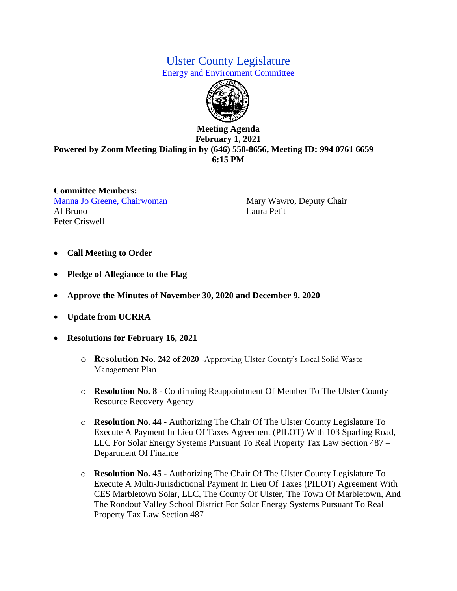## Ulster County Legislature

Energy and Environment Committee



## **Meeting Agenda February 1, 2021 Powered by Zoom Meeting Dialing in by (646) 558-8656, Meeting ID: 994 0761 6659 6:15 PM**

**Committee Members:**  Manna Jo Greene, Chairwoman Mary Wawro, Deputy Chair Al Bruno Laura Petit Peter Criswell

- **Call Meeting to Order**
- **Pledge of Allegiance to the Flag**
- **Approve the Minutes of November 30, 2020 and December 9, 2020**
- **Update from UCRRA**
- **Resolutions for February 16, 2021**
	- o **Resolution No. 242 of 2020** -Approving Ulster County's Local Solid Waste Management Plan
	- o **Resolution No. 8**  Confirming Reappointment Of Member To The Ulster County Resource Recovery Agency
	- o **Resolution No. 44**  Authorizing The Chair Of The Ulster County Legislature To Execute A Payment In Lieu Of Taxes Agreement (PILOT) With 103 Sparling Road, LLC For Solar Energy Systems Pursuant To Real Property Tax Law Section 487 – Department Of Finance
	- o **Resolution No. 45**  Authorizing The Chair Of The Ulster County Legislature To Execute A Multi-Jurisdictional Payment In Lieu Of Taxes (PILOT) Agreement With CES Marbletown Solar, LLC, The County Of Ulster, The Town Of Marbletown, And The Rondout Valley School District For Solar Energy Systems Pursuant To Real Property Tax Law Section 487